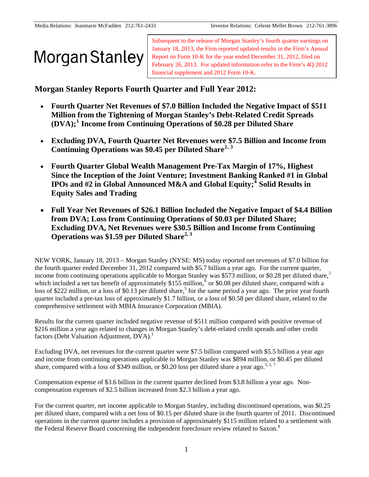Subsequent to the release of Morgan Stanley's fourth quarter earnings on January 18, 2013, the Firm reported updated results in the Firm's Annual Report on Form 10-K for the year ended December 31, 2012, filed on February 26, 2013. For updated information refer to the Firm's 4Q 2012 financial supplement and 2012 Form 10-K.

**Morgan Stanley Reports Fourth Quarter and Full Year 2012:** 

- <span id="page-0-2"></span> **Fourth Quarter Net Revenues of \$7.0 Billion Included the Negative Impact of \$511 Million from the Tightening of Morgan Stanley's Debt-Related Credit Spreads (DVA);[1](#page-7-0) Income from Continuing Operations of \$0.28 per Diluted Share**
- <span id="page-0-0"></span> **Excluding DVA, Fourth Quarter Net Revenues were \$7.5 Billion and Income from Continuing Operations was \$0.45 per Diluted Share[2](#page-7-1), [3](#page-7-2)**
- **Fourth Quarter Global Wealth Management Pre-Tax Margin of 17%, Highest Since the Inception of the Joint Venture; Investment Banking Ranked #1 in Global IPOs and #2 in Global Announced M&A and Global Equity;[4](#page-7-3) Solid Results in Equity Sales and Trading**
- **Full Year Net Revenues of \$26.1 Billion Included the Negative Impact of \$4.4 Billion from DVA; Loss from Continuing Operations of \$0.03 per Diluted Share; Excluding DVA, Net Revenues were \$30.5 Billion and Income from Continuing Operations was \$1.59 per Diluted Share[2, 3](#page-0-0)**

<span id="page-0-3"></span><span id="page-0-1"></span>NEW YORK, January 18, 2013 – Morgan Stanley (NYSE: MS) today reported net revenues of \$7.0 billion for the fourth quarter ended December 31, 2012 compared with \$5.7 billion a year ago. For the current quarter, income from continuing operations applicable to Morgan Stanley was \$[5](#page-7-4)73 million, or \$0.28 per diluted share,<sup>5</sup> which included a net tax benefit of approximately \$155 million,  $6$  or \$0.08 per diluted share, compared with a loss of \$222 million, or a loss of \$0.13 per diluted share,<sup>[5](#page-0-1)</sup> for the same period a year ago. The prior year fourth quarter included a pre-tax loss of approximately \$1.7 billion, or a loss of \$0.58 per diluted share, related to the comprehensive settlement with MBIA Insurance Corporation (MBIA).

Results for the current quarter included negative revenue of \$511 million compared with positive revenue of \$216 million a year ago related to changes in Morgan Stanley's debt-related credit spreads and other credit factors (Debt Valuation Adjustment, DVA).<sup>1</sup>

<span id="page-0-4"></span>Excluding DVA, net revenues for the current quarter were \$7.5 billion compared with \$5.5 billion a year ago and income from continuing operations applicable to Morgan Stanley was \$894 million, or \$0.45 per diluted share, compared with a loss of \$349 million, or \$0.20 loss per diluted share a year ago.<sup>[3,](#page-0-0)5,7</sup>

Compensation expense of \$3.6 billion in the current quarter declined from \$3.8 billion a year ago. Noncompensation expenses of \$2.5 billion increased from \$2.3 billion a year ago.

<span id="page-0-5"></span>For the current quarter, net income applicable to Morgan Stanley, including discontinued operations, was \$0.25 per diluted share, compared with a net loss of \$0.15 per diluted share in the fourth quarter of 2011. Discontinued operations in the current quarter includes a provision of approximately \$115 million related to a settlement with the Federal Reserve Board concerning the independent foreclosure review related to Saxon.<sup>[8](#page-7-7)</sup>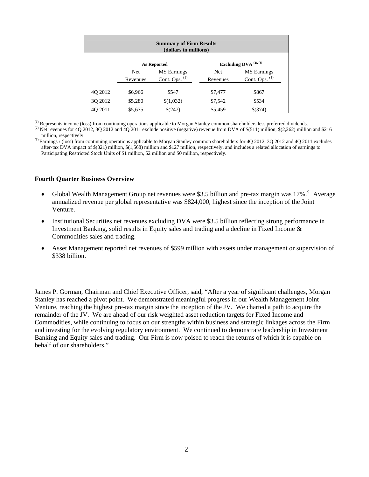| <b>Summary of Firm Results</b><br>(dollars in millions) |            |                           |            |                           |  |  |  |  |  |  |
|---------------------------------------------------------|------------|---------------------------|------------|---------------------------|--|--|--|--|--|--|
|                                                         |            | <b>As Reported</b>        |            | Excluding DVA $(2), (3)$  |  |  |  |  |  |  |
|                                                         | <b>Net</b> | <b>MS</b> Earnings        | <b>Net</b> | <b>MS</b> Earnings        |  |  |  |  |  |  |
|                                                         | Revenues   | Cont. Ops. <sup>(1)</sup> | Revenues   | Cont. Ops. <sup>(1)</sup> |  |  |  |  |  |  |
| 4Q 2012                                                 | \$6,966    | \$547                     | \$7,477    | \$867                     |  |  |  |  |  |  |
| 3Q 2012                                                 | \$5,280    | \$(1,032)                 | \$7,542    | \$534                     |  |  |  |  |  |  |
| 40 2011                                                 | \$5,675    | $$^{(247)}$               | \$5,459    | \$(374)                   |  |  |  |  |  |  |

<sup>(1)</sup> Represents income (loss) from continuing operations applicable to Morgan Stanley common shareholders less preferred dividends.

<sup>(2)</sup> Net revenues for 4Q 2012, 3Q 2012 and  $\overline{4Q}$  2011 exclude positive (negative) revenue from DVA of \$(511) million, \$(2,262) million and \$216 million, respectively.

<sup>(3)</sup> Earnings / (loss) from continuing operations applicable to Morgan Stanley common shareholders for 4Q 2012, 3Q 2012 and 4Q 2011 excludes after-tax DVA impact of \$(321) million, \$(1,568) million and \$127 million, respectively, and includes a related allocation of earnings to Participating Restricted Stock Units of \$1 million, \$2 million and \$0 million, respectively.

#### <span id="page-1-0"></span>**Fourth Quarter Business Overview**

- Global Wealth Management Group net revenues were \$3.5 billion and pre-tax margin was  $17\%$ . Average annualized revenue per global representative was \$824,000, highest since the inception of the Joint Venture.
- Institutional Securities net revenues excluding DVA were \$3.5 billion reflecting strong performance in Investment Banking, solid results in Equity sales and trading and a decline in Fixed Income & Commodities sales and trading.
- Asset Management reported net revenues of \$599 million with assets under management or supervision of \$338 billion.

James P. Gorman, Chairman and Chief Executive Officer, said, "After a year of significant challenges, Morgan Stanley has reached a pivot point. We demonstrated meaningful progress in our Wealth Management Joint Venture, reaching the highest pre-tax margin since the inception of the JV. We charted a path to acquire the remainder of the JV. We are ahead of our risk weighted asset reduction targets for Fixed Income and Commodities, while continuing to focus on our strengths within business and strategic linkages across the Firm and investing for the evolving regulatory environment. We continued to demonstrate leadership in Investment Banking and Equity sales and trading. Our Firm is now poised to reach the returns of which it is capable on behalf of our shareholders."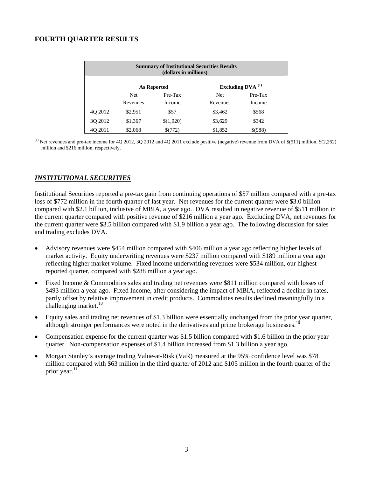# **FOURTH QUARTER RESULTS**

|         |          | (dollars in millions) | <b>Summary of Institutional Securities Results</b> |                        |
|---------|----------|-----------------------|----------------------------------------------------|------------------------|
|         |          | <b>As Reported</b>    |                                                    | Excluding DVA $^{(1)}$ |
|         | Net      | $Pre-Tax$             | Net                                                | Pre-Tax                |
|         | Revenues | Income                | Revenues                                           | Income                 |
| 40 2012 | \$2,951  | \$57                  | \$3,462                                            | \$568                  |
| 3Q 2012 | \$1,367  | \$(1,920)             | \$3,629                                            | \$342                  |
| 4Q 2011 | \$2,068  | \$(772)               | \$1,852                                            | \$(988)                |

<sup>(1)</sup> Net revenues and pre-tax income for 4Q 2012, 3Q 2012 and 4Q 2011 exclude positive (negative) revenue from DVA of  $$(511)$  million,  $$(2,262)$ million and \$216 million, respectively.

## *INSTITUTIONAL SECURITIES*

Institutional Securities reported a pre-tax gain from continuing operations of \$57 million compared with a pre-tax loss of \$772 million in the fourth quarter of last year. Net revenues for the current quarter were \$3.0 billion compared with \$2.1 billion, inclusive of MBIA, a year ago. DVA resulted in negative revenue of \$511 million in the current quarter compared with positive revenue of \$216 million a year ago. Excluding DVA, net revenues for the current quarter were \$3.5 billion compared with \$1.9 billion a year ago. The following discussion for sales and trading excludes DVA.

- Advisory revenues were \$454 million compared with \$406 million a year ago reflecting higher levels of market activity. Equity underwriting revenues were \$237 million compared with \$189 million a year ago reflecting higher market volume. Fixed income underwriting revenues were \$534 million, our highest reported quarter, compared with \$288 million a year ago.
- Fixed Income & Commodities sales and trading net revenues were \$811 million compared with losses of \$493 million a year ago. Fixed Income, after considering the impact of MBIA, reflected a decline in rates, partly offset by relative improvement in credit products. Commodities results declined meaningfully in a challenging market. $10$
- <span id="page-2-0"></span> Equity sales and trading net revenues of \$1.3 billion were essentially unchanged from the prior year quarter, although stronger performances were noted in the derivatives and prime brokerage businesses.<sup>1</sup>
- Compensation expense for the current quarter was \$1.5 billion compared with \$1.6 billion in the prior year quarter. Non-compensation expenses of \$1.4 billion increased from \$1.3 billion a year ago.
- Morgan Stanley's average trading Value-at-Risk (VaR) measured at the 95% confidence level was \$78 million compared with \$63 million in the third quarter of 2012 and \$105 million in the fourth quarter of the prior year. $11$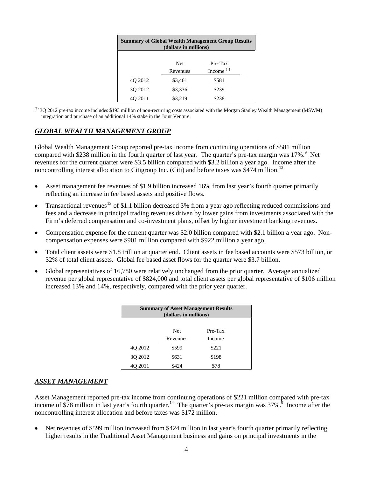| <b>Summary of Global Wealth Management Group Results</b><br>(dollars in millions) |            |              |  |  |  |  |  |  |  |  |  |  |
|-----------------------------------------------------------------------------------|------------|--------------|--|--|--|--|--|--|--|--|--|--|
|                                                                                   | <b>Net</b> | $Pre-Tax$    |  |  |  |  |  |  |  |  |  |  |
|                                                                                   | Revenues   | Income $(1)$ |  |  |  |  |  |  |  |  |  |  |
| 4Q 2012                                                                           | \$3,461    | \$581        |  |  |  |  |  |  |  |  |  |  |
| 3Q 2012                                                                           | \$3,336    | \$239        |  |  |  |  |  |  |  |  |  |  |
| 40 2011                                                                           | \$3,219    | \$238        |  |  |  |  |  |  |  |  |  |  |

(1) 3Q 2012 pre-tax income includes \$193 million of non-recurring costs associated with the Morgan Stanley Wealth Management (MSWM) integration and purchase of an additional 14% stake in the Joint Venture.

# *GLOBAL WEALTH MANAGEMENT GROUP*

Global Wealth Management Group reported pre-tax income from continuing operations of \$581 million compared with \$238 million in the fourth quarter of last year. The quarter's pre-tax margin was  $17\%$ .<sup>[9](#page-1-0)</sup> Net revenues for the current quarter were \$3.5 billion compared with \$3.2 billion a year ago. Income after the noncontrolling interest allocation to Citigroup Inc. (Citi) and before taxes was \$474 million.<sup>[12](#page-7-11)</sup>

- <span id="page-3-0"></span> Asset management fee revenues of \$1.9 billion increased 16% from last year's fourth quarter primarily reflecting an increase in fee based assets and positive flows.
- Transactional revenues<sup>[13](#page-7-12)</sup> of \$1.1 billion decreased 3% from a year ago reflecting reduced commissions and fees and a decrease in principal trading revenues driven by lower gains from investments associated with the Firm's deferred compensation and co-investment plans, offset by higher investment banking revenues.
- Compensation expense for the current quarter was \$2.0 billion compared with \$2.1 billion a year ago. Noncompensation expenses were \$901 million compared with \$922 million a year ago.
- Total client assets were \$1.8 trillion at quarter end. Client assets in fee based accounts were \$573 billion, or 32% of total client assets. Global fee based asset flows for the quarter were \$3.7 billion.
- Global representatives of 16,780 were relatively unchanged from the prior quarter. Average annualized revenue per global representative of \$824,000 and total client assets per global representative of \$106 million increased 13% and 14%, respectively, compared with the prior year quarter.

| <b>Summary of Asset Management Results</b><br>(dollars in millions) |            |         |  |  |  |  |  |  |  |  |  |
|---------------------------------------------------------------------|------------|---------|--|--|--|--|--|--|--|--|--|
|                                                                     |            |         |  |  |  |  |  |  |  |  |  |
|                                                                     | <b>Net</b> | Pre-Tax |  |  |  |  |  |  |  |  |  |
|                                                                     | Revenues   | Income  |  |  |  |  |  |  |  |  |  |
| 40 2012                                                             | \$599      | \$221   |  |  |  |  |  |  |  |  |  |
| 30 2012                                                             | \$631      | \$198   |  |  |  |  |  |  |  |  |  |
| 40 2011                                                             | \$424      | \$78    |  |  |  |  |  |  |  |  |  |

#### *ASSET MANAGEMENT*

<span id="page-3-1"></span>Asset Management reported pre-tax income from continuing operations of \$221 million compared with pre-tax income of \$78 million in last year's fourth quarter.<sup>[14](#page-7-13)</sup> The quarter's pre-tax margin was  $37\%$ <sup>[9](#page-1-0)</sup> Income after the noncontrolling interest allocation and before taxes was \$172 million.

 Net revenues of \$599 million increased from \$424 million in last year's fourth quarter primarily reflecting higher results in the Traditional Asset Management business and gains on principal investments in the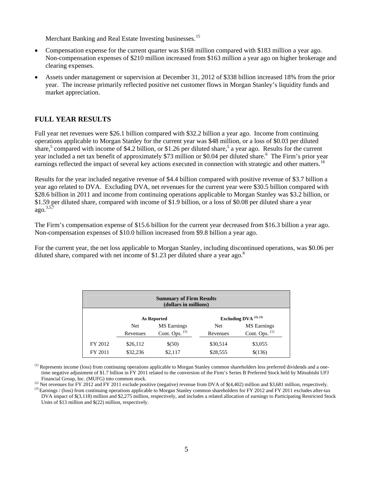Merchant Banking and Real Estate Investing businesses.<sup>15</sup>

- <span id="page-4-0"></span> Compensation expense for the current quarter was \$168 million compared with \$183 million a year ago. Non-compensation expenses of \$210 million increased from \$163 million a year ago on higher brokerage and clearing expenses.
- Assets under management or supervision at December 31, 2012 of \$338 billion increased 18% from the prior year. The increase primarily reflected positive net customer flows in Morgan Stanley's liquidity funds and market appreciation.

# **FULL YEAR RESULTS**

Full year net revenues were \$26.1 billion compared with \$32.2 billion a year ago. Income from continuing operations applicable to Morgan Stanley for the current year was \$48 million, or a loss of \$0.03 per diluted share,<sup>[5](#page-0-1)</sup> compared with income of \$4.2 billion, or \$1.26 per diluted share,<sup>5</sup> a year ago. Results for the current year included a net tax benefit of approximately \$73 million or \$0.04 per diluted share.<sup>[6](#page-0-3)</sup> The Firm's prior year earnings reflected the impact of several key actions executed in connection with strategic and other matters.<sup>[16](#page-7-14)</sup>

Results for the year included negative revenue of \$4.4 billion compared with positive revenue of \$3.7 billion a year ago related to DVA. Excluding DVA, net revenues for the current year were \$30.5 billion compared with \$28.6 billion in 2011 and income from continuing operations applicable to Morgan Stanley was \$3.2 billion, or \$1.59 per diluted share, compared with income of \$1.9 billion, or a loss of \$0.08 per diluted share a year  $a\Omega$ <sup>[3](#page-0-0)[,5,](#page-0-1)[7](#page-0-4)</sup>

The Firm's compensation expense of \$15.6 billion for the current year decreased from \$16.3 billion a year ago. Non-compensation expenses of \$10.0 billion increased from \$9.8 billion a year ago.

For the current year, the net loss applicable to Morgan Stanley, including discontinued operations, was \$0.06 per diluted share, compared with net income of \$1.23 per diluted share a year ago. $8$ 

| <b>Summary of Firm Results</b><br>(dollars in millions) |            |                    |          |                             |  |  |  |  |  |  |
|---------------------------------------------------------|------------|--------------------|----------|-----------------------------|--|--|--|--|--|--|
|                                                         |            | As Reported        |          | Excluding DVA $(2)$ , $(3)$ |  |  |  |  |  |  |
|                                                         | <b>Net</b> | <b>MS</b> Earnings | Net      | <b>MS</b> Earnings          |  |  |  |  |  |  |
|                                                         | Revenues   | Cont. Ops. (1)     | Revenues | Cont. Ops. $(1)$            |  |  |  |  |  |  |
| FY 2012                                                 | \$26,112   | \$(50)             | \$30,514 | \$3,055                     |  |  |  |  |  |  |
| FY 2011                                                 | \$32,236   | \$2,117            | \$28,555 | \$(136)                     |  |  |  |  |  |  |

<sup>(1)</sup> Represents income (loss) from continuing operations applicable to Morgan Stanley common shareholders less preferred dividends and a onetime negative adjustment of \$1.7 billion in FY 2011 related to the conversion of the Firm's Series B Preferred Stock held by Mitsubishi UFJ Financial Group, Inc. (MUFG) into common stock.

<sup>(2)</sup> Net revenues for FY 2012 and FY 2011 exclude positive (negative) revenue from DVA of \$(4,402) million and \$3,681 million, respectively. <sup>(3)</sup> Earnings / (loss) from continuing operations applicable to Morgan Stanley common shareholders for FY 2012 and FY 2011 excludes after-tax DVA impact of \$(3,118) million and \$2,275 million, respectively, and includes a related allocation of earnings to Participating Restricted Stock Units of \$13 million and \$(22) million, respectively.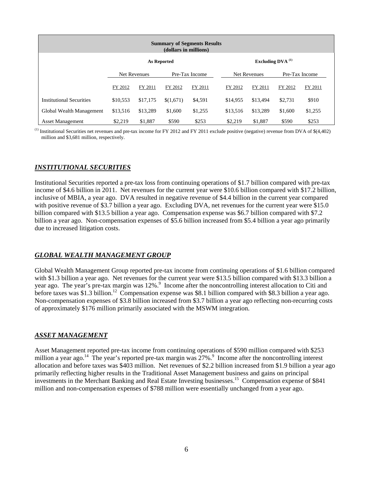| <b>Summary of Segments Results</b><br>(dollars in millions) |          |              |                              |                |  |          |                     |         |                |  |  |  |  |
|-------------------------------------------------------------|----------|--------------|------------------------------|----------------|--|----------|---------------------|---------|----------------|--|--|--|--|
|                                                             |          |              | Excluding DVA <sup>(1)</sup> |                |  |          |                     |         |                |  |  |  |  |
|                                                             |          | Net Revenues |                              | Pre-Tax Income |  |          | <b>Net Revenues</b> |         | Pre-Tax Income |  |  |  |  |
|                                                             | FY 2012  | FY 2011      | FY 2012                      | FY 2011        |  | FY 2012  | FY 2011             | FY 2012 | FY 2011        |  |  |  |  |
| Institutional Securities                                    | \$10.553 | \$17,175     | \$(1,671)                    | \$4,591        |  | \$14,955 | \$13.494            | \$2.731 | \$910          |  |  |  |  |
| Global Wealth Management                                    | \$13,516 | \$13,289     | \$1,600                      | \$1,255        |  | \$13,516 | \$13.289            | \$1,600 | \$1,255        |  |  |  |  |
| <b>Asset Management</b>                                     | \$2,219  | \$1,887      | \$590                        | \$253          |  | \$2,219  | \$1,887             | \$590   | \$253          |  |  |  |  |

(1) Institutional Securities net revenues and pre-tax income for FY 2012 and FY 2011 exclude positive (negative) revenue from DVA of \$(4,402) million and \$3,681 million, respectively.

# *INSTITUTIONAL SECURITIES*

Institutional Securities reported a pre-tax loss from continuing operations of \$1.7 billion compared with pre-tax income of \$4.6 billion in 2011. Net revenues for the current year were \$10.6 billion compared with \$17.2 billion, inclusive of MBIA, a year ago. DVA resulted in negative revenue of \$4.4 billion in the current year compared with positive revenue of \$3.7 billion a year ago. Excluding DVA, net revenues for the current year were \$15.0 billion compared with \$13.5 billion a year ago. Compensation expense was \$6.7 billion compared with \$7.2 billion a year ago. Non-compensation expenses of \$5.6 billion increased from \$5.4 billion a year ago primarily due to increased litigation costs.

## *GLOBAL WEALTH MANAGEMENT GROUP*

Global Wealth Management Group reported pre-tax income from continuing operations of \$1.6 billion compared with \$1.3 billion a year ago. Net revenues for the current year were \$13.5 billion compared with \$13.3 billion a year ago. The year's pre-tax margin was 12%.<sup>9</sup> Income after the noncontrolling interest allocation to Citi and before taxes was \$1.3 billion.<sup>12</sup> Compensation expense was \$8.1 billion compared with \$8.3 billion a year ago. Non-compensation expenses of \$3.8 billion increased from \$3.7 billion a year ago reflecting non-recurring costs of approximately \$176 million primarily associated with the MSWM integration.

## *ASSET MANAGEMENT*

Asset Management reported pre-tax income from continuing operations of \$590 million compared with \$253 million a year ago.<sup>14</sup> The year's reported pre-tax margin was  $27\%$ .<sup>[9](#page-1-0)</sup> Income after the noncontrolling interest allocation and before taxes was \$403 million. Net revenues of \$2.2 billion increased from \$1.9 billion a year ago primarily reflecting higher results in the Traditional Asset Management business and gains on principal investments in the Merchant Banking and Real Estate Investing businesses.<sup>15</sup> Compensation expense of \$841 million and non-compensation expenses of \$788 million were essentially unchanged from a year ago.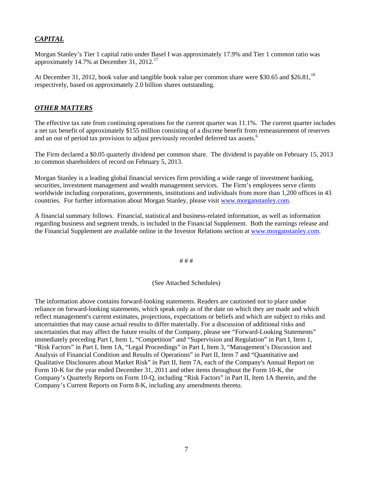# *CAPITAL*

Morgan Stanley's Tier 1 capital ratio under Basel I was approximately 17.9% and Tier 1 common ratio was approximately 14.7% at December 31, 2012.<sup>[17](#page-7-15)</sup>

At December 31, 2012, book value and tangible book value per common share were \$30.65 and \$26.81,<sup>[18](#page-7-16)</sup> respectively, based on approximately 2.0 billion shares outstanding.

## *OTHER MATTERS*

The effective tax rate from continuing operations for the current quarter was 11.1%. The current quarter includes a net tax benefit of approximately \$155 million consisting of a discrete benefit from remeasurement of reserves and an out of period tax provision to adjust previously recorded deferred tax assets.<sup>6</sup>

The Firm declared a \$0.05 quarterly dividend per common share. The dividend is payable on February 15, 2013 to common shareholders of record on February 5, 2013.

Morgan Stanley is a leading global financial services firm providing a wide range of investment banking, securities, investment management and wealth management services. The Firm's employees serve clients worldwide including corporations, governments, institutions and individuals from more than 1,200 offices in 43 countries. For further information about Morgan Stanley, please visit www.morganstanley.com[.](http://www.morganstanley.com/) 

A financial summary follows. Financial, statistical and business-related information, as well as information regarding business and segment trends, is included in the Financial Supplement. Both the earnings release and the Financial Supplement are available online in the Investor Relations section at [www.morganstanley.com.](http://www.morganstanley.com/)

# # #

#### (See Attached Schedules)

The information above contains forward-looking statements. Readers are cautioned not to place undue reliance on forward-looking statements, which speak only as of the date on which they are made and which reflect management's current estimates, projections, expectations or beliefs and which are subject to risks and uncertainties that may cause actual results to differ materially. For a discussion of additional risks and uncertainties that may affect the future results of the Company, please see "Forward-Looking Statements" immediately preceding Part I, Item 1, "Competition" and "Supervision and Regulation" in Part I, Item 1, "Risk Factors" in Part I, Item 1A, "Legal Proceedings" in Part I, Item 3, "Management's Discussion and Analysis of Financial Condition and Results of Operations" in Part II, Item 7 and "Quantitative and Qualitative Disclosures about Market Risk" in Part II, Item 7A, each of the Company's Annual Report on Form 10-K for the year ended December 31, 2011 and other items throughout the Form 10-K, the Company's Quarterly Reports on Form 10-Q, including "Risk Factors" in Part II, Item 1A therein, and the Company's Current Reports on Form 8-K, including any amendments thereto.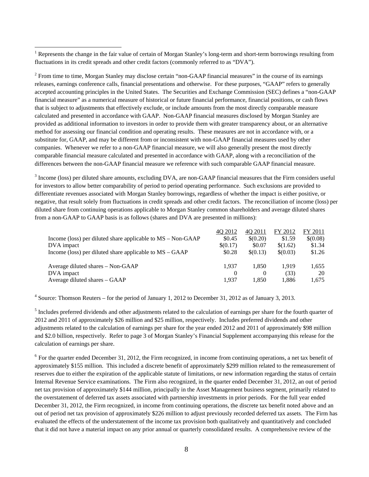<span id="page-7-11"></span><span id="page-7-6"></span><span id="page-7-0"></span> $\overline{a}$ <sup>1</sup> Represents the change in the fair value of certain of Morgan Stanley's long-term and short-term borrowings resulting from fluctuations in its credit spreads and other credit factors (commonly referred to as "DVA").

<span id="page-7-13"></span><span id="page-7-12"></span><span id="page-7-1"></span> $2^2$  From time to time, Morgan Stanley may disclose certain "non-GAAP financial measures" in the course of its earnings releases, earnings conference calls, financial presentations and otherwise. For these purposes, "GAAP" refers to generally accepted accounting principles in the United States. The Securities and Exchange Commission (SEC) defines a "non-GAAP financial measure" as a numerical measure of historical or future financial performance, financial positions, or cash flows that is subject to adjustments that effectively exclude, or include amounts from the most directly comparable measure calculated and presented in accordance with GAAP. Non-GAAP financial measures disclosed by Morgan Stanley are provided as additional information to investors in order to provide them with greater transparency about, or an alternative method for assessing our financial condition and operating results. These measures are not in accordance with, or a substitute for, GAAP, and may be different from or inconsistent with non-GAAP financial measures used by other companies. Whenever we refer to a non-GAAP financial measure, we will also generally present the most directly comparable financial measure calculated and presented in accordance with GAAP, along with a reconciliation of the differences between the non-GAAP financial measure we reference with such comparable GAAP financial measure.

<span id="page-7-14"></span><span id="page-7-7"></span><span id="page-7-2"></span> $3$  Income (loss) per diluted share amounts, excluding DVA, are non-GAAP financial measures that the Firm considers useful for investors to allow better comparability of period to period operating performance. Such exclusions are provided to differentiate revenues associated with Morgan Stanley borrowings, regardless of whether the impact is either positive, or negative, that result solely from fluctuations in credit spreads and other credit factors. The reconciliation of income (loss) per diluted share from continuing operations applicable to Morgan Stanley common shareholders and average diluted shares from a non-GAAP to GAAP basis is as follows (shares and DVA are presented in millions):

<span id="page-7-9"></span><span id="page-7-8"></span>

|                                                               | 40 2012  | 40 2011  | FY 2012  | FY 2011  |
|---------------------------------------------------------------|----------|----------|----------|----------|
| Income (loss) per diluted share applicable to $MS - Non-GAAP$ | \$0.45   | \$(0.20) | \$1.59   | \$(0.08) |
| DVA impact                                                    | \$(0.17) | \$0.07   | \$(1.62) | \$1.34   |
| Income (loss) per diluted share applicable to $MS - GAAP$     | \$0.28   | \$(0.13) | \$(0.03) | \$1.26   |
|                                                               |          |          |          |          |
| Average diluted shares – Non-GAAP                             | 1.937    | 1.850    | 1.919    | 1,655    |
| DVA impact                                                    | $\theta$ | $\theta$ | (33)     | 20       |
| Average diluted shares – GAAP                                 | 1.937    | 1.850    | 1.886    | 1,675    |

<span id="page-7-15"></span><sup>4</sup> Source: Thomson Reuters – for the period of January 1, 2012 to December 31, 2012 as of January 3, 2013.

<span id="page-7-4"></span><span id="page-7-3"></span><sup>5</sup> Includes preferred dividends and other adjustments related to the calculation of earnings per share for the fourth quarter of 2012 and 2011 of approximately \$26 million and \$25 million, respectively. Includes preferred dividends and other adjustments related to the calculation of earnings per share for the year ended 2012 and 2011 of approximately \$98 million and \$2.0 billion, respectively. Refer to page 3 of Morgan Stanley's Financial Supplement accompanying this release for the calculation of earnings per share.

<span id="page-7-16"></span><span id="page-7-10"></span><span id="page-7-5"></span> $6$  For the quarter ended December 31, 2012, the Firm recognized, in income from continuing operations, a net tax benefit of approximately \$155 million. This included a discrete benefit of approximately \$299 million related to the remeasurement of reserves due to either the expiration of the applicable statute of limitations, or new information regarding the status of certain Internal Revenue Service examinations. The Firm also recognized, in the quarter ended December 31, 2012, an out of period net tax provision of approximately \$144 million, principally in the Asset Management business segment, primarily related to the overstatement of deferred tax assets associated with partnership investments in prior periods. For the full year ended December 31, 2012, the Firm recognized, in income from continuing operations, the discrete tax benefit noted above and an out of period net tax provision of approximately \$226 million to adjust previously recorded deferred tax assets. The Firm has evaluated the effects of the understatement of the income tax provision both qualitatively and quantitatively and concluded that it did not have a material impact on any prior annual or quarterly consolidated results. A comprehensive review of the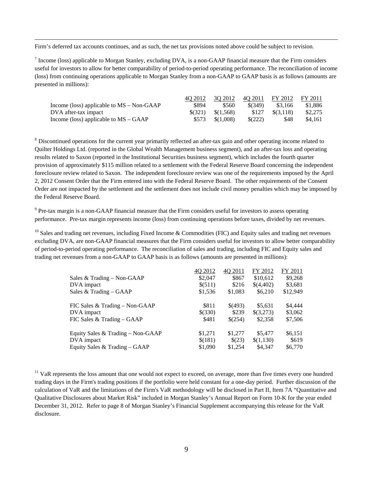Firm's deferred tax accounts continues, and as such, the net tax provisions noted above could be subject to revision.

 $<sup>7</sup>$  Income (loss) applicable to Morgan Stanley, excluding DVA, is a non-GAAP financial measure that the Firm considers</sup> useful for investors to allow for better comparability of period-to-period operating performance. The reconciliation of income (loss) from continuing operations applicable to Morgan Stanley from a non-GAAP to GAAP basis is as follows (amounts are presented in millions):

|                                             | 40 2012 | 30 2012   | 40 2011 | FY 2012   | FY 2011 |
|---------------------------------------------|---------|-----------|---------|-----------|---------|
| Income (loss) applicable to $MS - Non-GAAP$ | \$894   | \$560     | \$(349) | \$3.166   | \$1.886 |
| DVA after-tax impact                        | \$(321) | \$(1.568) | \$127   | \$(3.118) | \$2,275 |
| Income (loss) applicable to $MS - GAAP$     | \$573   | \$(1.008) | \$(222) | \$48      | \$4.161 |

<sup>8</sup> Discontinued operations for the current year primarily reflected an after-tax gain and other operating income related to Quilter Holdings Ltd. (reported in the Global Wealth Management business segment), and an after-tax loss and operating results related to Saxon (reported in the Institutional Securities business segment), which includes the fourth quarter provision of approximately \$115 million related to a settlement with the Federal Reserve Board concerning the independent foreclosure review related to Saxon. The independent foreclosure review was one of the requirements imposed by the April 2, 2012 Consent Order that the Firm entered into with the Federal Reserve Board. The other requirements of the Consent Order are not impacted by the settlement and the settlement does not include civil money penalties which may be imposed by the Federal Reserve Board.

<sup>9</sup> Pre-tax margin is a non-GAAP financial measure that the Firm considers useful for investors to assess operating performance. Pre-tax margin represents income (loss) from continuing operations before taxes, divided by net revenues.

<sup>10</sup> Sales and trading net revenues, including Fixed Income & Commodities (FIC) and Equity sales and trading net revenues excluding DVA, are non-GAAP financial measures that the Firm considers useful for investors to allow better comparability of period-to-period operating performance. The reconciliation of sales and trading, including FIC and Equity sales and trading net revenues from a non-GAAP to GAAP basis is as follows (amounts are presented in millions):

| 4Q 2012 | 4Q 2011                     | FY 2012                      | FY 2011                         |
|---------|-----------------------------|------------------------------|---------------------------------|
| \$2,047 | \$867                       | \$10,612                     | \$9,268                         |
| \$(511) | \$216                       | \$(4,402)                    | \$3,681                         |
| \$1,536 | \$1,083                     | \$6,210                      | \$12,949                        |
|         |                             |                              |                                 |
|         |                             |                              | \$4,444                         |
| \$(330) | \$239                       | \$(3,273)                    | \$3,062                         |
| \$481   | \$(254)                     | \$2,358                      | \$7,506                         |
|         |                             |                              |                                 |
|         |                             |                              | \$6,151                         |
|         |                             |                              | \$619                           |
| \$1,090 | \$1,254                     | \$4.347                      | \$6,770                         |
|         | \$811<br>\$1,271<br>\$(181) | \$(493)<br>\$1,277<br>\$(23) | \$5.631<br>\$5,477<br>\$(1,130) |

 $<sup>11</sup>$  VaR represents the loss amount that one would not expect to exceed, on average, more than five times every one hundred</sup> trading days in the Firm's trading positions if the portfolio were held constant for a one-day period. Further discussion of the calculation of VaR and the limitations of the Firm's VaR methodology will be disclosed in Part II, Item 7A "Quantitative and Qualitative Disclosures about Market Risk" included in Morgan Stanley's Annual Report on Form 10-K for the year ended December 31, 2012. Refer to page 8 of Morgan Stanley's Financial Supplement accompanying this release for the VaR disclosure.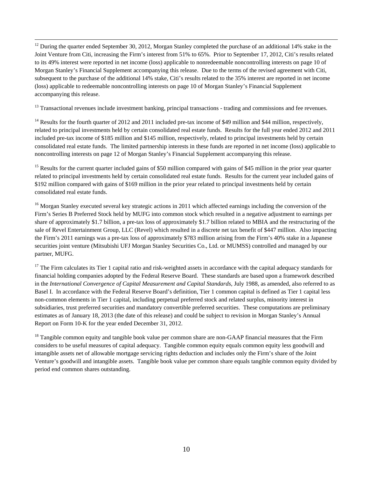$12$  During the quarter ended September 30, 2012, Morgan Stanley completed the purchase of an additional 14% stake in the Joint Venture from Citi, increasing the Firm's interest from 51% to 65%. Prior to September 17, 2012, Citi's results related to its 49% interest were reported in net income (loss) applicable to nonredeemable noncontrolling interests on page 10 of Morgan Stanley's Financial Supplement accompanying this release. Due to the terms of the revised agreement with Citi, subsequent to the purchase of the additional 14% stake, Citi's results related to the 35% interest are reported in net income (loss) applicable to redeemable noncontrolling interests on page 10 of Morgan Stanley's Financial Supplement accompanying this release.

<sup>13</sup> Transactional revenues include investment banking, principal transactions - trading and commissions and fee revenues.

<sup>14</sup> Results for the fourth quarter of 2012 and 2011 included pre-tax income of \$49 million and \$44 million, respectively, related to principal investments held by certain consolidated real estate funds. Results for the full year ended 2012 and 2011 included pre-tax income of \$185 million and \$145 million, respectively, related to principal investments held by certain consolidated real estate funds. The limited partnership interests in these funds are reported in net income (loss) applicable to noncontrolling interests on page 12 of Morgan Stanley's Financial Supplement accompanying this release.

<sup>15</sup> Results for the current quarter included gains of \$50 million compared with gains of \$45 million in the prior year quarter related to principal investments held by certain consolidated real estate funds. Results for the current year included gains of \$192 million compared with gains of \$169 million in the prior year related to principal investments held by certain consolidated real estate funds.

<sup>16</sup> Morgan Stanley executed several key strategic actions in 2011 which affected earnings including the conversion of the Firm's Series B Preferred Stock held by MUFG into common stock which resulted in a negative adjustment to earnings per share of approximately \$1.7 billion, a pre-tax loss of approximately \$1.7 billion related to MBIA and the restructuring of the sale of Revel Entertainment Group, LLC (Revel) which resulted in a discrete net tax benefit of \$447 million. Also impacting the Firm's 2011 earnings was a pre-tax loss of approximately \$783 million arising from the Firm's 40% stake in a Japanese securities joint venture (Mitsubishi UFJ Morgan Stanley Securities Co., Ltd. or MUMSS) controlled and managed by our partner, MUFG.

 $17$  The Firm calculates its Tier 1 capital ratio and risk-weighted assets in accordance with the capital adequacy standards for financial holding companies adopted by the Federal Reserve Board. These standards are based upon a framework described in the *International Convergence of Capital Measurement and Capital Standards*, July 1988, as amended, also referred to as Basel I. In accordance with the Federal Reserve Board's definition, Tier 1 common capital is defined as Tier 1 capital less non-common elements in Tier 1 capital, including perpetual preferred stock and related surplus, minority interest in subsidiaries, trust preferred securities and mandatory convertible preferred securities. These computations are preliminary estimates as of January 18, 2013 (the date of this release) and could be subject to revision in Morgan Stanley's Annual Report on Form 10-K for the year ended December 31, 2012.

<sup>18</sup> Tangible common equity and tangible book value per common share are non-GAAP financial measures that the Firm considers to be useful measures of capital adequacy. Tangible common equity equals common equity less goodwill and intangible assets net of allowable mortgage servicing rights deduction and includes only the Firm's share of the Joint Venture's goodwill and intangible assets. Tangible book value per common share equals tangible common equity divided by period end common shares outstanding.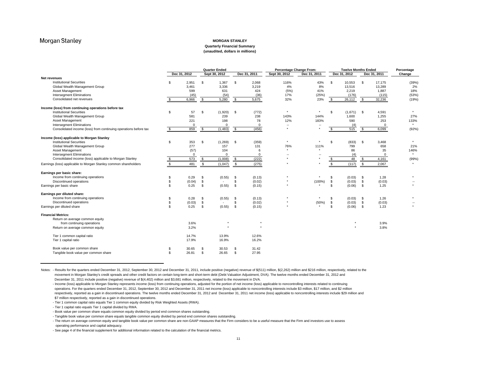#### **MORGAN STANLEY**

#### **Quarterly Financial Summary**

**(unaudited, dollars in millions)**

|                                                                  |     |              | <b>Quarter Ended</b> |               | <b>Percentage Change From:</b> |              |               | <b>Twelve Months Ended</b> | Percentage |              |          |              |                          |  |
|------------------------------------------------------------------|-----|--------------|----------------------|---------------|--------------------------------|--------------|---------------|----------------------------|------------|--------------|----------|--------------|--------------------------|--|
|                                                                  |     | Dec 31, 2012 |                      | Sept 30, 2012 |                                | Dec 31, 2011 | Sept 30, 2012 | Dec 31, 2011               |            | Dec 31, 2012 |          | Dec 31, 2011 | Change                   |  |
| Net revenues                                                     |     |              |                      |               |                                |              |               |                            |            |              |          |              |                          |  |
| <b>Institutional Securities</b>                                  | \$  | 2,951        | \$                   | 1,367         | \$                             | 2,068        | 116%          | 43%                        | \$         | 10,553       | \$       | 17,175       | (39%)                    |  |
| Global Wealth Management Group                                   |     | 3,461        |                      | 3,336         |                                | 3,219        | 4%            | 8%                         |            | 13,516       |          | 13,289       | 2%                       |  |
| Asset Management                                                 |     | 599          |                      | 631           |                                | 424          | (5%)          | 41%                        |            | 2,219        |          | 1,887        | 18%                      |  |
| <b>Intersegment Eliminations</b>                                 |     | (45)         |                      | (54)          |                                | (36)         | 17%           | (25%)                      |            | (176)        |          | (115)        | (53%)                    |  |
| Consolidated net revenues                                        |     | 6,966        | <b>S</b>             | 5,280         | \$                             | 5,675        | 32%           | 23%                        | - \$       | 26,112       | - \$     | 32,236       | (19%)                    |  |
| Income (loss) from continuing operations before tax              |     |              |                      |               |                                |              |               |                            |            |              |          |              |                          |  |
| <b>Institutional Securities</b>                                  | \$  | 57           | \$                   | (1,920)       | \$                             | (772)        | $\star$       | $\star$                    | \$         | (1,671)      | \$       | 4,591        | $\star$                  |  |
| Global Wealth Management Group                                   |     | 581          |                      | 239           |                                | 238          | 143%          | 144%                       |            | 1,600        |          | 1,255        | 27%                      |  |
| Asset Management                                                 |     |              |                      |               |                                |              |               |                            |            |              |          |              |                          |  |
|                                                                  |     | 221          |                      | 198           |                                | 78           | 12%           | 183%                       |            | 590          |          | 253          | 133%<br>$\star$          |  |
| <b>Intersegment Eliminations</b>                                 |     | $\Omega$     |                      | $\Omega$      |                                | $\mathbf 0$  | ٠.            | ٠.<br>$\star$              |            | (4)          |          | $\mathbf 0$  |                          |  |
| Consolidated income (loss) from continuing operations before tax | -\$ | 859          | - \$                 | (1, 483)      | - \$                           | (456)        |               |                            | £.         | 515          | - \$     | 6,099        | (92%)                    |  |
| Income (loss) applicable to Morgan Stanley                       |     |              |                      |               |                                |              |               |                            |            |              |          |              |                          |  |
| <b>Institutional Securities</b>                                  | \$  | 353          | \$                   | (1,269)       | \$                             | (359)        |               | $\star$                    | \$         | (833)        | \$       | 3,468        | $\star$                  |  |
| Global Wealth Management Group                                   |     | 277          |                      | 157           |                                | 131          | 76%           | 111%                       |            | 799          |          | 658          | 21%                      |  |
| Asset Management                                                 |     | (57)         |                      | 104           |                                | 6            |               |                            |            | 86           |          | 35           | 146%                     |  |
| <b>Intersegment Eliminations</b>                                 |     | $\Omega$     |                      | $\Omega$      |                                | $\Omega$     | ٠.            | ٠.                         |            | (4)          |          | $\Omega$     | $\star$                  |  |
| Consolidated income (loss) applicable to Morgan Stanley          |     | 573          | \$.                  | (1,008)       | -S                             | (222)        |               |                            |            | 48           | -S       | 4,161        | (99%)                    |  |
| Earnings (loss) applicable to Morgan Stanley common shareholders |     | 481          | \$                   | (1,047)       | \$                             | (275)        |               | ٠                          | \$.        | (117)        | <b>S</b> | 2,067        | $\star$                  |  |
|                                                                  |     |              |                      |               |                                |              |               |                            |            |              |          |              |                          |  |
| Earnings per basic share:                                        |     |              |                      |               |                                |              |               |                            |            |              |          |              | $\star$                  |  |
| Income from continuing operations                                | \$  | 0.29         | \$                   | (0.55)        | \$                             | (0.13)       |               |                            | \$         | (0.03)       | \$       | 1.28         |                          |  |
| Discontinued operations                                          | \$  | (0.04)       | \$                   |               | \$                             | (0.02)       |               | $(100\%)$                  | \$         | (0.03)       | \$       | (0.03)       | $\overline{\phantom{a}}$ |  |
| Earnings per basic share                                         | \$  | 0.25         | \$                   | (0.55)        | \$                             | (0.15)       |               |                            | \$         | (0.06)       | \$       | 1.25         | $\star$                  |  |
| Earnings per diluted share:                                      |     |              |                      |               |                                |              |               |                            |            |              |          |              |                          |  |
| Income from continuing operations                                | \$  | 0.28         | \$                   | (0.55)        | \$                             | (0.13)       |               | $\star$                    | \$         | (0.03)       | \$       | 1.26         | $\star$                  |  |
| Discontinued operations                                          | \$  | (0.03)       | \$                   | $\sim$        | \$                             | (0.02)       |               | (50%)                      | \$         | (0.03)       | \$       | (0.03)       | $\sim$                   |  |
| Earnings per diluted share                                       | \$  | 0.25         | \$                   | (0.55)        | - \$                           | (0.15)       |               | $\star$                    | \$         | (0.06)       | \$       | 1.23         | $\star$                  |  |
| <b>Financial Metrics:</b>                                        |     |              |                      |               |                                |              |               |                            |            |              |          |              |                          |  |
| Return on average common equity                                  |     |              |                      |               |                                |              |               |                            |            |              |          |              |                          |  |
| from continuing operations                                       |     | 3.6%         |                      |               |                                | $\star$      |               |                            |            |              |          | 3.9%         |                          |  |
| Return on average common equity                                  |     | 3.2%         |                      |               |                                |              |               |                            |            |              |          | 3.8%         |                          |  |
| Tier 1 common capital ratio                                      |     | 14.7%        |                      | 13.9%         |                                | 12.6%        |               |                            |            |              |          |              |                          |  |
| Tier 1 capital ratio                                             |     | 17.9%        |                      | 16.9%         |                                | 16.2%        |               |                            |            |              |          |              |                          |  |
| Book value per common share                                      | \$  | 30.65        | \$                   | 30.53         | \$                             | 31.42        |               |                            |            |              |          |              |                          |  |
| Tangible book value per common share                             | \$  | 26.81        | \$                   | 26.65         | \$                             | 27.95        |               |                            |            |              |          |              |                          |  |
|                                                                  |     |              |                      |               |                                |              |               |                            |            |              |          |              |                          |  |

Notes: - Results for the quarters ended December 31, 2012, September 30, 2012 and December 31, 2011, include positive (negative) revenue of \$(511) million, \$(2,262) million and \$216 million, respectively, related to the movement in Morgan Stanley's credit spreads and other credit factors on certain long-term and short-term debt (Debt Valuation Adjustment, DVA). The twelve months ended December 31, 2012 and December 31, 2011 include positive (negative) revenue of \$(4,402) million and \$3,681 million, respectively, related to the movement in DVA.

- Income (loss) applicable to Morgan Stanley represents income (loss) from continuing operations, adjusted for the portion of net income (loss) applicable to noncontrolling interests related to continuing operations. For the quarters ended December 31, 2012, September 30, 2012 and December 31, 2011 net income (loss) applicable to noncontrolling interests include \$3 million, \$17 million, and \$2 million respectively, reported as a gain in discontinued operations. The twelve months ended December 31, 2012 and December 31, 2011 net income (loss) applicable to noncontrolling interests include \$29 million and \$7 million respectively, reported as a gain in discontinued operations.

- Tier 1 common capital ratio equals Tier 1 common equity divided by Risk Weighted Assets (RWA).

- Tier 1 capital ratio equals Tier 1 capital divided by RWA.

- Tangible book value per common share equals tangible common equity divided by period end common shares outstanding.

- The return on average common equity and tangible book value per common share are non-GAAP measures that the Firm considers to be a useful measure that the Firm and investors use to assess operating performance and capital adequacy.

- See page 4 of the financial supplement for additional information related to the calculation of the financial metrics.

<sup>-</sup> Book value per common share equals common equity divided by period end common shares outstanding.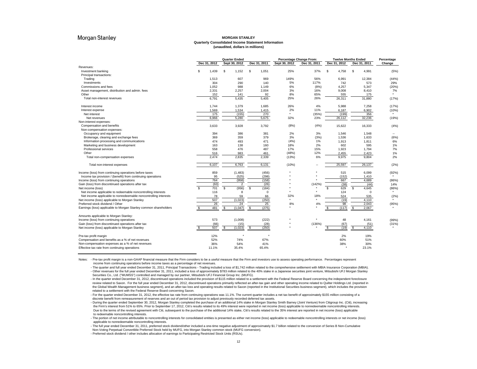#### **MORGAN STANLEY Quarterly Consolidated Income Statement Information (unaudited, dollars in millions)**

|                                                                  |              | <b>Quarter Ended</b> |              |               | <b>Percentage Change From:</b> |              | <b>Twelve Months Ended</b> | Percentage |
|------------------------------------------------------------------|--------------|----------------------|--------------|---------------|--------------------------------|--------------|----------------------------|------------|
|                                                                  | Dec 31, 2012 | Sept 30, 2012        | Dec 31, 2011 | Sept 30, 2012 | Dec 31, 2011                   | Dec 31, 2012 | Dec 31, 2011               | Change     |
| Revenues:                                                        |              |                      |              |               |                                |              |                            |            |
| Investment banking                                               | s.<br>1.439  | \$<br>1,152          | S<br>1,051   | 25%           | 37%                            | \$<br>4,758  | S<br>4,991                 | (5%        |
| Principal transactions:                                          |              |                      |              |               |                                |              |                            |            |
| Trading                                                          | 1.513        | 607                  | 969          | 149%          | 56%                            | 6.991        | 12,384                     | (44%       |
| Investments                                                      | 304          | 290                  | 140          | 5%            | 117%                           | 742          | 573                        | 29%        |
| Commissions and fees                                             | 1,052        | 988                  | 1,149        | 6%            | (8%)                           | 4,257        | 5,347                      | (20%       |
| Asset management, distribution and admin. fees                   | 2,331        | 2,257                | 2,004        | 3%            | 16%                            | 9,008        | 8,410                      | 7%         |
| Other                                                            | 152          | 141                  | 92           | 8%            | 65%                            | 555          | 175                        | $\star$    |
| Total non-interest revenues                                      | 6,791        | 5,435                | 5,405        | 25%           | 26%                            | 26,311       | 31,880                     | (17%)      |
| Interest income                                                  | 1,744        | 1,379                | 1,685        | 26%           | 4%                             | 5,988        | 7,258                      | (17%       |
| Interest expense                                                 | 1.569        | 1,534                | 1.415        | 2%            | 11%                            | 6,187        | 6,902                      | (10%       |
| Net interest                                                     | 175          | (155)                | 270          | $\star$       | (35%)                          | (199)        | 356                        |            |
| Net revenues                                                     | 6,966        | 5.280                | 5,675        | 32%           | 23%                            | 26,112       | 32,236                     | (19%       |
| Non-interest expenses:                                           |              |                      |              |               |                                |              |                            |            |
| Compensation and benefits                                        | 3.633        | 3.928                | 3,792        | (8%)          | (4% )                          | 15,622       | 16,333                     | (4%        |
| Non-compensation expenses:                                       |              |                      |              |               |                                |              |                            |            |
| Occupancy and equipment                                          | 394          | 386                  | 381          | 2%            | 3%                             | 1,546        | 1,548                      |            |
| Brokerage, clearing and exchange fees                            | 369          | 359                  | 379          | 3%            | (3%)                           | 1,536        | 1,633                      | (6%        |
| Information processing and communications                        | 474          | 493                  | 471          | (4% )         | 1%                             | 1,913        | 1,811                      | 6%         |
| Marketing and business development                               | 163          | 138                  | 160          | 18%           | 2%                             | 602          | 595                        | 1%         |
| Professional services                                            | 558          | 476                  | 487          | 17%           | 15%                            | 1,923        | 1,794                      | 7%         |
| Other                                                            | 516          | 983                  | 461          | (48%)         | 12%                            | 2,455        | 2,423                      | 1%         |
| Total non-compensation expenses                                  | 2,474        | 2,835                | 2,339        | (13%)         | 6%                             | 9,975        | 9,804                      | 2%         |
| Total non-interest expenses                                      | 6,107        | 6,763                | 6,131        | (10%)         | $\sim$                         | 25,597       | 26,137                     | (2%        |
| Income (loss) from continuing operations before taxes            | 859          | (1, 483)             | (456)        | $\star$       | $\star$                        | 515          | 6,099                      | (92%       |
| Income tax provision / (benefit) from continuing operations      | 95           | (525)                | (298)        |               |                                | (152)        | 1,410                      |            |
| Income (loss) from continuing operations                         | 764          | (958)                | (158)        |               |                                | 667          | 4,689                      | (86%       |
| Gain (loss) from discontinued operations after tax               | (63)         | $\overline{2}$       | (26)         |               | (142%)                         | (38)         | (44)                       | 14%        |
| Net income (loss)                                                | 701<br>s.    | (956)<br>S           | (184)<br>\$  | ٠             |                                | 629<br>\$.   | S.<br>4,645                | (86%       |
| Net income applicable to redeemable noncontrolling interests     | 116          | 8                    | $\mathbf 0$  |               |                                | 124          | $\Omega$                   |            |
| Net income applicable to nonredeemable noncontrolling interests  | 78           | 59                   | 66           | 32%           | 18%                            | 524          | 535                        | (2%        |
| Net income (loss) applicable to Morgan Stanley                   | 507          | (1,023)              | (250)        |               |                                | (19)         | 4.110                      |            |
| Preferred stock dividend / Other                                 | 26           | 24                   | 25           | 8%            | 4%                             | 98           | 2.043                      | (95%       |
| Earnings (loss) applicable to Morgan Stanley common shareholders | 481<br>£.    | <b>S</b><br>(1,047)  | \$<br>(275)  |               |                                | S<br>(117)   | \$<br>2,067                |            |
| Amounts applicable to Morgan Stanley:                            |              |                      |              |               |                                |              |                            |            |
| Income (loss) from continuing operations                         | 573          | (1,008)              | (222)        |               |                                | 48           | 4,161                      | (99%       |
| Gain (loss) from discontinued operations after tax               | (66)         | (15)                 | (28)         |               | (136%)                         | (67)         | (51)                       | (31%       |
| Net income (loss) applicable to Morgan Stanley                   | 507          | (1,023)<br>-S        | (250)<br>\$  |               |                                | (19)<br>S    | \$<br>4,110                |            |
| Pre-tax profit margin                                            | 12%          |                      |              |               |                                | 2%           | 19%                        |            |
| Compensation and benefits as a % of net revenues                 | 52%          | 74%                  | 67%          |               |                                | 60%          | 51%                        |            |
| Non-compensation expenses as a % of net revenues                 | 36%          | 54%                  | 41%          |               |                                | 38%          | 30%                        |            |
| Effective tax rate from continuing operations                    | 11.1%        | 35.4%                | 65.4%        |               |                                |              | 23.1%                      |            |

Notes: - Pre-tax profit margin is a non-GAAP financial measure that the Firm considers to be a useful measure that the Firm and investors use to assess operating performance. Percentages represent income from continuing operations before income taxes as a percentage of net revenues.

- The quarter and full year ended December 31, 2011, Principal Transactions - Trading included a loss of \$1,742 million related to the comprehensive settlement with MBIA Insurance Corporation (MBIA). - Other revenues for the full year ended December 31, 2011, included a loss of approximately \$783 million related to the 40% stake in a Japanese securities joint venture, Mitsubishi UFJ Morgan Stanley Securities Co., Ltd. ("MUMSS") controlled and managed by our partner, Mitsubishi UFJ Financial Group Inc. (MUFG).

- In the quarter ended December 31, 2012, discontinued operations included the provision of \$115 million related to a settlement with the Federal Reserve Board concerning the independent foreclosure

review related to Saxon. For the full year ended December 31, 2012, discontinued operations primarily reflected an after-tax gain and other operating income related to Quilter Holdings Ltd. (reported in the Global Wealth Management business segment), and an after-tax loss and operating results related to Saxon (reported in the Institutional Securities business segment), which includes the provision related to a settlement with the Federal Reserve Board concerning Saxon.

- For the quarter ended December 31, 2012, the effective tax rate from continuing operations was 11.1%. The current quarter includes a net tax benefit of approximately \$155 million consisting of a discrete benefit from remeasurement of reserves and an out of period tax provision to adjust previously recorded deferred tax assets.

- During the quarter ended September 30, 2012, Morgan Stanley completed the purchase of an additional 14% stake in Morgan Stanley Smith Barney (Joint Venture) from Citigroup Inc. (Citi), increasing the Firm's interest from 51% to 65%. Prior to September 17, 2012, Citi's results related to its 49% interest were reported in net income (loss) applicable to nonredeemable noncontrolling interests. Due to the terms of the revised agreement with Citi, subsequent to the purchase of the additional 14% stake, Citi's results related to the 35% interest are reported in net income (loss) applicable to redeemable noncontrolling interests.

- The portion of net income attributable to noncontrolling interests for consolidated entities is presented as either net income (loss) applicable to redeemable noncontrolling interests or net income (loss) applicable to nonredeemable noncontrolling interests.

- The full year ended December 31, 2011, preferred stock dividend/other included a one-time negative adjustment of approximately \$1.7 billion related to the conversion of Series B Non-Cumulative Non-Voting Perpetual Convertible Preferred Stock held by MUFG, into Morgan Stanley common stock (MUFG conversion).

- Preferred stock dividend / other includes allocation of earnings to Participating Restricted Stock Units (RSUs).